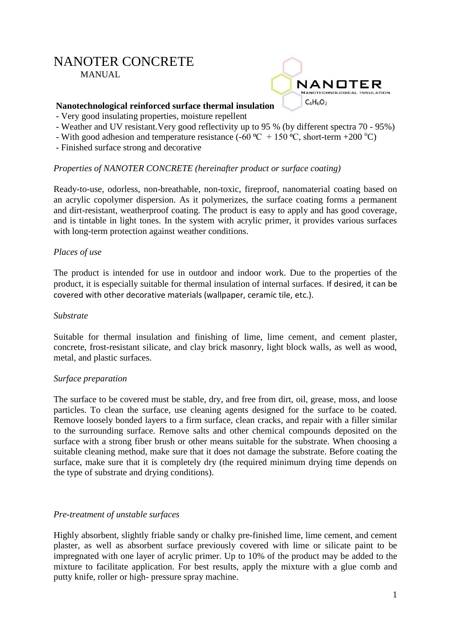# NANOTER CONCRETE MANUAL.



# **Nanotechnological reinforced surface thermal insulation**

- Very good insulating properties, moisture repellent
- Weather and UV resistant.Very good reflectivity up to 95 % (by different spectra 70 95%)
- With good adhesion and temperature resistance (-60  $^{\circ}C$  + 150  $^{\circ}C$ , short-term +200  $^{\circ}C$ )
- Finished surface strong and decorative

# *Properties of NANOTER CONCRETE (hereinafter product or surface coating)*

Ready-to-use, odorless, non-breathable, non-toxic, fireproof, nanomaterial coating based on an acrylic copolymer dispersion. As it polymerizes, the surface coating forms a permanent and dirt-resistant, weatherproof coating. The product is easy to apply and has good coverage, and is tintable in light tones. In the system with acrylic primer, it provides various surfaces with long-term protection against weather conditions.

## *Places of use*

The product is intended for use in outdoor and indoor work. Due to the properties of the product, it is especially suitable for thermal insulation of internal surfaces. If desired, it can be covered with other decorative materials (wallpaper, ceramic tile, etc.).

#### *Substrate*

Suitable for thermal insulation and finishing of lime, lime cement, and cement plaster, concrete, frost-resistant silicate, and clay brick masonry, light block walls, as well as wood, metal, and plastic surfaces.

#### *Surface preparation*

The surface to be covered must be stable, dry, and free from dirt, oil, grease, moss, and loose particles. To clean the surface, use cleaning agents designed for the surface to be coated. Remove loosely bonded layers to a firm surface, clean cracks, and repair with a filler similar to the surrounding surface. Remove salts and other chemical compounds deposited on the surface with a strong fiber brush or other means suitable for the substrate. When choosing a suitable cleaning method, make sure that it does not damage the substrate. Before coating the surface, make sure that it is completely dry (the required minimum drying time depends on the type of substrate and drying conditions).

#### *Pre-treatment of unstable surfaces*

Highly absorbent, slightly friable sandy or chalky pre-finished lime, lime cement, and cement plaster, as well as absorbent surface previously covered with lime or silicate paint to be impregnated with one layer of acrylic primer. Up to 10% of the product may be added to the mixture to facilitate application. For best results, apply the mixture with a glue comb and putty knife, roller or high- pressure spray machine.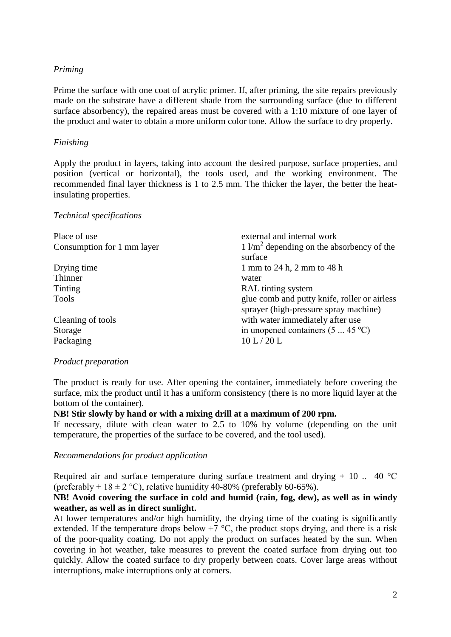#### *Priming*

Prime the surface with one coat of acrylic primer. If, after priming, the site repairs previously made on the substrate have a different shade from the surrounding surface (due to different surface absorbency), the repaired areas must be covered with a 1:10 mixture of one layer of the product and water to obtain a more uniform color tone. Allow the surface to dry properly.

## *Finishing*

Apply the product in layers, taking into account the desired purpose, surface properties, and position (vertical or horizontal), the tools used, and the working environment. The recommended final layer thickness is 1 to 2.5 mm. The thicker the layer, the better the heatinsulating properties.

#### *Technical specifications*

| Place of use<br>Consumption for 1 mm layer | external and internal work<br>$1 \frac{1}{m^2}$ depending on the absorbency of the<br>surface |
|--------------------------------------------|-----------------------------------------------------------------------------------------------|
| Drying time                                | 1 mm to 24 h, 2 mm to 48 h                                                                    |
| Thinner                                    | water                                                                                         |
| Tinting                                    | RAL tinting system                                                                            |
| <b>Tools</b>                               | glue comb and putty knife, roller or airless<br>sprayer (high-pressure spray machine)         |
| Cleaning of tools                          | with water immediately after use                                                              |
| Storage                                    | in unopened containers $(5 \dots 45 \degree C)$                                               |
| Packaging                                  | 10 L/20 L                                                                                     |

#### *Product preparation*

The product is ready for use. After opening the container, immediately before covering the surface, mix the product until it has a uniform consistency (there is no more liquid layer at the bottom of the container).

# **NB! Stir slowly by hand or with a mixing drill at a maximum of 200 rpm.**

If necessary, dilute with clean water to 2.5 to 10% by volume (depending on the unit temperature, the properties of the surface to be covered, and the tool used).

#### *Recommendations for product application*

Required air and surface temperature during surface treatment and drying  $+10$ ... 40 °C (preferably +  $18 \pm 2$  °C), relative humidity 40-80% (preferably 60-65%).

#### **NB! Avoid covering the surface in cold and humid (rain, fog, dew), as well as in windy weather, as well as in direct sunlight.**

At lower temperatures and/or high humidity, the drying time of the coating is significantly extended. If the temperature drops below  $+7$  °C, the product stops drying, and there is a risk of the poor-quality coating. Do not apply the product on surfaces heated by the sun. When covering in hot weather, take measures to prevent the coated surface from drying out too quickly. Allow the coated surface to dry properly between coats. Cover large areas without interruptions, make interruptions only at corners.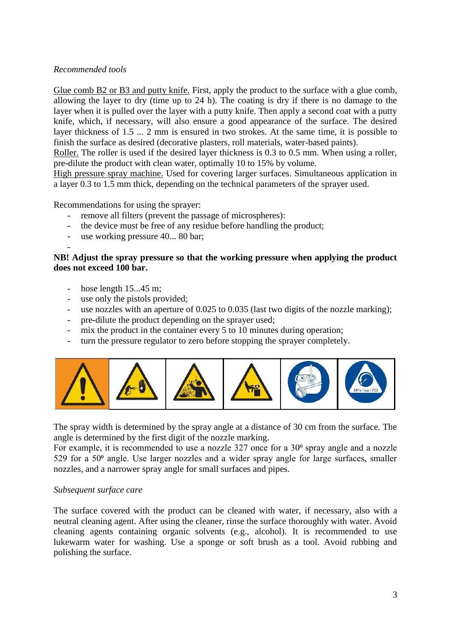# *Recommended tools*

Glue comb B2 or B3 and putty knife. First, apply the product to the surface with a glue comb, allowing the layer to dry (time up to 24 h). The coating is dry if there is no damage to the layer when it is pulled over the layer with a putty knife. Then apply a second coat with a putty knife, which, if necessary, will also ensure a good appearance of the surface. The desired layer thickness of 1.5 ... 2 mm is ensured in two strokes. At the same time, it is possible to finish the surface as desired (decorative plasters, roll materials, water-based paints).

Roller. The roller is used if the desired layer thickness is 0.3 to 0.5 mm. When using a roller, pre-dilute the product with clean water, optimally 10 to 15% by volume.

High pressure spray machine. Used for covering larger surfaces. Simultaneous application in a layer 0.3 to 1.5 mm thick, depending on the technical parameters of the sprayer used.

Recommendations for using the sprayer:

- remove all filters (prevent the passage of microspheres):
- the device must be free of any residue before handling the product;
- use working pressure 40... 80 bar;

#### **NB! Adjust the spray pressure so that the working pressure when applying the product does not exceed 100 bar.**

hose length  $15...45$  m;

-

- use only the pistols provided;
- use nozzles with an aperture of 0.025 to 0.035 (last two digits of the nozzle marking);
- pre-dilute the product depending on the sprayer used;
- mix the product in the container every 5 to 10 minutes during operation;
- turn the pressure regulator to zero before stopping the sprayer completely.



The spray width is determined by the spray angle at a distance of 30 cm from the surface. The angle is determined by the first digit of the nozzle marking.

For example, it is recommended to use a nozzle  $327$  once for a  $30^{\circ}$  spray angle and a nozzle 529 for a  $50<sup>o</sup>$  angle. Use larger nozzles and a wider spray angle for large surfaces, smaller nozzles, and a narrower spray angle for small surfaces and pipes.

#### *Subsequent surface care*

The surface covered with the product can be cleaned with water, if necessary, also with a neutral cleaning agent. After using the cleaner, rinse the surface thoroughly with water. Avoid cleaning agents containing organic solvents (e.g., alcohol). It is recommended to use lukewarm water for washing. Use a sponge or soft brush as a tool. Avoid rubbing and polishing the surface.